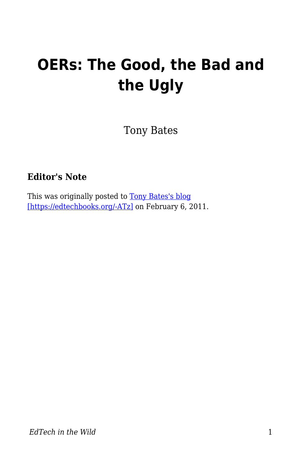# **OERs: The Good, the Bad and the Ugly**

Tony Bates

#### **Editor's Note**

This was originally posted to [Tony Bates's blog](https://www.tonybates.ca/2011/02/06/oers-the-good-the-bad-and-the-ugly/) [\[https://edtechbooks.org/-ATz\]](https://www.tonybates.ca/2011/02/06/oers-the-good-the-bad-and-the-ugly/) on February 6, 2011.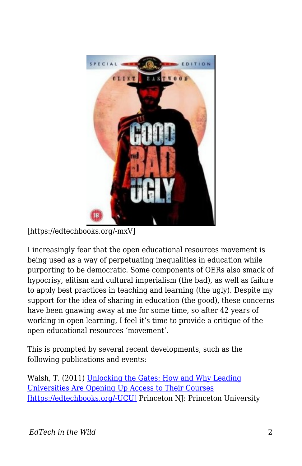

[https://edtechbooks.org/-mxV]

I increasingly fear that the open educational resources movement is being used as a way of perpetuating inequalities in education while purporting to be democratic. Some components of OERs also smack of hypocrisy, elitism and cultural imperialism (the bad), as well as failure to apply best practices in teaching and learning (the ugly). Despite my support for the idea of sharing in education (the good), these concerns have been gnawing away at me for some time, so after 42 years of working in open learning, I feel it's time to provide a critique of the open educational resources 'movement'.

This is prompted by several recent developments, such as the following publications and events:

Walsh, T. (2011) [Unlocking the Gates: How and Why Leading](http://press.princeton.edu/titles/9386.html) [Universities Are Opening Up Access to Their Courses](http://press.princeton.edu/titles/9386.html) [\[https://edtechbooks.org/-UCU\]](http://press.princeton.edu/titles/9386.html) Princeton NJ: Princeton University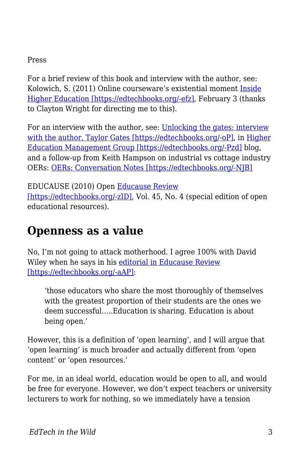#### Press

For a brief review of this book and interview with the author, see: Kolowich, S. (2011) Online courseware's existential moment [Inside](http://www.insidehighered.com/news/2011/02/03/book_examines_free_online_course_giveaways_at_elite_american_colleges_and_universities) [Higher Education \[https://edtechbooks.org/-efz\],](http://www.insidehighered.com/news/2011/02/03/book_examines_free_online_course_giveaways_at_elite_american_colleges_and_universities) February 3 (thanks to Clayton Wright for directing me to this).

For an interview with the author, see: [Unlocking the gates: interview](http://highereducationmanagement.wordpress.com/2011/01/22/unlocking-the-gates-interview-with-author-taylor-walsh/) [with the author, Taylor Gates \[https://edtechbooks.org/-oP\]](http://highereducationmanagement.wordpress.com/2011/01/22/unlocking-the-gates-interview-with-author-taylor-walsh/), in [Higher](http://highereducationmanagement.wordpress.com/) [Education Management Group \[https://edtechbooks.org/-Pzd\]](http://highereducationmanagement.wordpress.com/) blog, and a follow-up from Keith Hampson on industrial vs cottage industry OERs: [OERs: Conversation Notes \[https://edtechbooks.org/-NJB\]](http://highereducationmanagement.wordpress.com/2011/01/23/oer-conversation-notes/)

EDUCAUSE (2010) Open [Educause Review](http://www.educause.edu/EDUCAUSE+Review/ERVolume442009/EDUCAUSEReviewMagazineVolume45/209245) [\[https://edtechbooks.org/-zID\],](http://www.educause.edu/EDUCAUSE+Review/ERVolume442009/EDUCAUSEReviewMagazineVolume45/209245) Vol. 45, No. 4 (special edition of open educational resources).

#### **Openness as a value**

No, I'm not going to attack motherhood. I agree 100% with David Wiley when he says in his [editorial in Educause Review](http://www.educause.edu/EDUCAUSE+Review/EDUCAUSEReviewMagazineVolume45/OpennessasCatalystforanEducati/209246) [\[https://edtechbooks.org/-aAP\]](http://www.educause.edu/EDUCAUSE+Review/EDUCAUSEReviewMagazineVolume45/OpennessasCatalystforanEducati/209246):

'those educators who share the most thoroughly of themselves with the greatest proportion of their students are the ones we deem successful…..Education is sharing. Education is about being open.'

However, this is a definition of 'open learning', and I will argue that 'open learning' is much broader and actually different from 'open content' or 'open resources.'

For me, in an ideal world, education would be open to all, and would be free for everyone. However, we don't expect teachers or university lecturers to work for nothing, so we immediately have a tension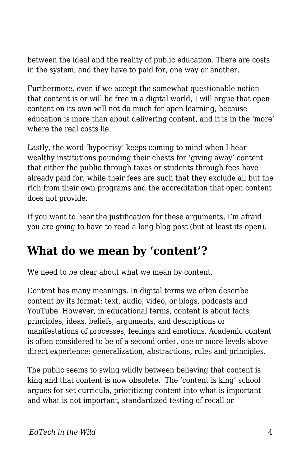between the ideal and the reality of public education. There are costs in the system, and they have to paid for, one way or another.

Furthermore, even if we accept the somewhat questionable notion that content is or will be free in a digital world, I will argue that open content on its own will not do much for open learning, because education is more than about delivering content, and it is in the 'more' where the real costs lie.

Lastly, the word 'hypocrisy' keeps coming to mind when I hear wealthy institutions pounding their chests for 'giving away' content that either the public through taxes or students through fees have already paid for, while their fees are such that they exclude all but the rich from their own programs and the accreditation that open content does not provide.

If you want to hear the justification for these arguments, I'm afraid you are going to have to read a long blog post (but at least its open).

#### **What do we mean by 'content'?**

We need to be clear about what we mean by content.

Content has many meanings. In digital terms we often describe content by its format: text, audio, video, or blogs, podcasts and YouTube. However, in educational terms, content is about facts, principles, ideas, beliefs, arguments, and descriptions or manifestations of processes, feelings and emotions. Academic content is often considered to be of a second order, one or more levels above direct experience: generalization, abstractions, rules and principles.

The public seems to swing wildly between believing that content is king and that content is now obsolete. The 'content is king' school argues for set curricula, prioritizing content into what is important and what is not important, standardized testing of recall or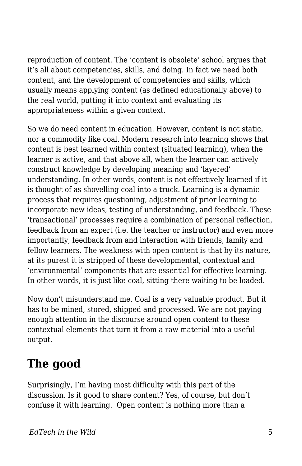reproduction of content. The 'content is obsolete' school argues that it's all about competencies, skills, and doing. In fact we need both content, and the development of competencies and skills, which usually means applying content (as defined educationally above) to the real world, putting it into context and evaluating its appropriateness within a given context.

So we do need content in education. However, content is not static, nor a commodity like coal. Modern research into learning shows that content is best learned within context (situated learning), when the learner is active, and that above all, when the learner can actively construct knowledge by developing meaning and 'layered' understanding. In other words, content is not effectively learned if it is thought of as shovelling coal into a truck. Learning is a dynamic process that requires questioning, adjustment of prior learning to incorporate new ideas, testing of understanding, and feedback. These 'transactional' processes require a combination of personal reflection, feedback from an expert (i.e. the teacher or instructor) and even more importantly, feedback from and interaction with friends, family and fellow learners. The weakness with open content is that by its nature, at its purest it is stripped of these developmental, contextual and 'environmental' components that are essential for effective learning. In other words, it is just like coal, sitting there waiting to be loaded.

Now don't misunderstand me. Coal is a very valuable product. But it has to be mined, stored, shipped and processed. We are not paying enough attention in the discourse around open content to these contextual elements that turn it from a raw material into a useful output.

### **The good**

Surprisingly, I'm having most difficulty with this part of the discussion. Is it good to share content? Yes, of course, but don't confuse it with learning. Open content is nothing more than a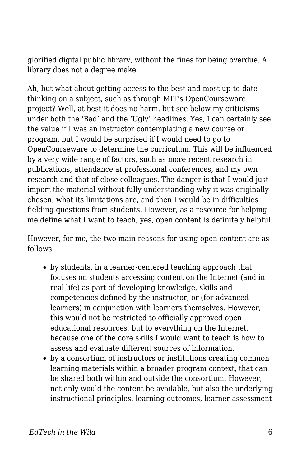glorified digital public library, without the fines for being overdue. A library does not a degree make.

Ah, but what about getting access to the best and most up-to-date thinking on a subject, such as through MIT's OpenCourseware project? Well, at best it does no harm, but see below my criticisms under both the 'Bad' and the 'Ugly' headlines. Yes, I can certainly see the value if I was an instructor contemplating a new course or program, but I would be surprised if I would need to go to OpenCourseware to determine the curriculum. This will be influenced by a very wide range of factors, such as more recent research in publications, attendance at professional conferences, and my own research and that of close colleagues. The danger is that I would just import the material without fully understanding why it was originally chosen, what its limitations are, and then I would be in difficulties fielding questions from students. However, as a resource for helping me define what I want to teach, yes, open content is definitely helpful.

However, for me, the two main reasons for using open content are as follows

- by students, in a learner-centered teaching approach that focuses on students accessing content on the Internet (and in real life) as part of developing knowledge, skills and competencies defined by the instructor, or (for advanced learners) in conjunction with learners themselves. However, this would not be restricted to officially approved open educational resources, but to everything on the Internet, because one of the core skills I would want to teach is how to assess and evaluate different sources of information.
- by a consortium of instructors or institutions creating common learning materials within a broader program context, that can be shared both within and outside the consortium. However, not only would the content be available, but also the underlying instructional principles, learning outcomes, learner assessment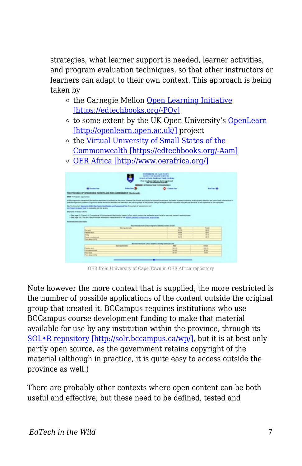strategies, what learner support is needed, learner activities, and program evaluation techniques, so that other instructors or learners can adapt to their own context. This approach is being taken by

- $\circ$  the Carnegie Mellon [Open Learning Initiative](http://oli.web.cmu.edu/openlearning/) [\[https://edtechbooks.org/-PQy\]](http://oli.web.cmu.edu/openlearning/)
- o to some extent by the UK Open University's [OpenLearn](http://openlearn.open.ac.uk/) [\[http://openlearn.open.ac.uk/\]](http://openlearn.open.ac.uk/) project
- $\circ$  the [Virtual University of Small States of the](http://www.col.org/progServ/programmes/Pages/VUSSC.aspx/) [Commonwealth \[https://edtechbooks.org/-Aam\]](http://www.col.org/progServ/programmes/Pages/VUSSC.aspx/)
- [OER Africa \[http://www.oerafrica.org/\]](http://www.oerafrica.org/)



OER from University of Cape Town in OER Africa repository

Note however the more context that is supplied, the more restricted is the number of possible applications of the content outside the original group that created it. BCCampus requires institutions who use BCCampus course development funding to make that material available for use by any institution within the province, through its [SOL•R repository \[http://solr.bccampus.ca/wp/\],](http://solr.bccampus.ca/wp/) but it is at best only partly open source, as the government retains copyright of the material (although in practice, it is quite easy to access outside the province as well.)

There are probably other contexts where open content can be both useful and effective, but these need to be defined, tested and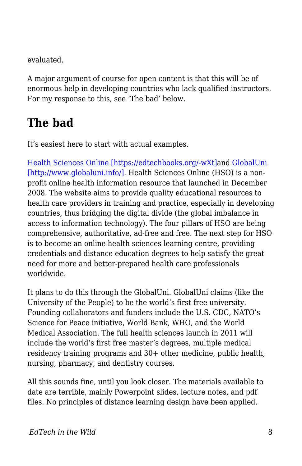evaluated.

A major argument of course for open content is that this will be of enormous help in developing countries who lack qualified instructors. For my response to this, see 'The bad' below.

### **The bad**

It's easiest here to start with actual examples.

[Health Sciences Online \[https://edtechbooks.org/-wXt\]a](http://hso.info/hso/cgi-bin/query-meta?v:project=HSO&v:sources=test-lang-final2-avalon%20PubMed&)nd [GlobalUni](http://www.globaluni.info/) [\[http://www.globaluni.info/\].](http://www.globaluni.info/) Health Sciences Online (HSO) is a nonprofit online health information resource that launched in December 2008. The website aims to provide quality educational resources to health care providers in training and practice, especially in developing countries, thus bridging the digital divide (the global imbalance in access to information technology). The four pillars of HSO are being comprehensive, authoritative, ad-free and free. The next step for HSO is to become an online health sciences learning centre, providing credentials and distance education degrees to help satisfy the great need for more and better-prepared health care professionals worldwide.

It plans to do this through the GlobalUni. GlobalUni claims (like the University of the People) to be the world's first free university. Founding collaborators and funders include the U.S. CDC, NATO's Science for Peace initiative, World Bank, WHO, and the World Medical Association. The full health sciences launch in 2011 will include the world's first free master's degrees, multiple medical residency training programs and 30+ other medicine, public health, nursing, pharmacy, and dentistry courses.

All this sounds fine, until you look closer. The materials available to date are terrible, mainly Powerpoint slides, lecture notes, and pdf files. No principles of distance learning design have been applied.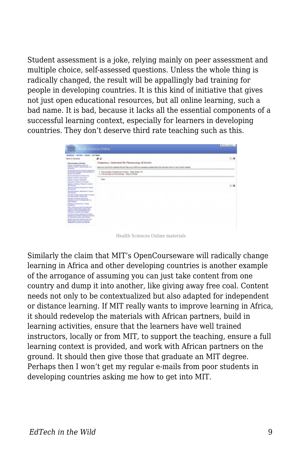Student assessment is a joke, relying mainly on peer assessment and multiple choice, self-assessed questions. Unless the whole thing is radically changed, the result will be appallingly bad training for people in developing countries. It is this kind of initiative that gives not just open educational resources, but all online learning, such a bad name. It is bad, because it lacks all the essential components of a successful learning context, especially for learners in developing countries. They don't deserve third rate teaching such as this.

| <b>HOWER</b><br><b>CERTIS</b>                                                                                                                                                                                                                                                                                                                                                                                                                                                                                                                                                                                                                                                                                                                                                                                                                                                                                                                                                                                                                                                                                                                                                                                                                     | <b>ATTI-Sciences Online</b>                                                                                                                                                                    | B Men product 11 |
|---------------------------------------------------------------------------------------------------------------------------------------------------------------------------------------------------------------------------------------------------------------------------------------------------------------------------------------------------------------------------------------------------------------------------------------------------------------------------------------------------------------------------------------------------------------------------------------------------------------------------------------------------------------------------------------------------------------------------------------------------------------------------------------------------------------------------------------------------------------------------------------------------------------------------------------------------------------------------------------------------------------------------------------------------------------------------------------------------------------------------------------------------------------------------------------------------------------------------------------------------|------------------------------------------------------------------------------------------------------------------------------------------------------------------------------------------------|------------------|
| Gebrief - A.7151 - Bosto: - ALT Book                                                                                                                                                                                                                                                                                                                                                                                                                                                                                                                                                                                                                                                                                                                                                                                                                                                                                                                                                                                                                                                                                                                                                                                                              |                                                                                                                                                                                                |                  |
| Taking of Castosia                                                                                                                                                                                                                                                                                                                                                                                                                                                                                                                                                                                                                                                                                                                                                                                                                                                                                                                                                                                                                                                                                                                                                                                                                                | 44                                                                                                                                                                                             | の痛               |
| <b>Recreating of Audust</b><br><b>Scouts shakespelling Statested</b><br>Filteritan Niteri, Nickeltonian, and<br><b><i><u>American</u></i></b><br>lastic bases and bases of branch is<br>the Minimum Haracana, and Tradition Ind.<br><b>RATIO AT YOU'RE</b><br>Egre & Engineer shikuptonian<br>bench of ference Mineralber<br><b>Rooms of Modest Abergamen</b><br>because of Antiuction Steamer<br>San Fish Printers Printers for silvers<br><b>Mill Detroite</b><br>bone of Traditional Association clouded<br><b>CALIFORNIA</b><br><b>Auckstreampts Material Avenue</b><br>and Language<br>THE R.A. of these Municipal Products.<br><b>EXCESSION CONTRACTOR</b><br>branques of American Charles<br>Foundation and in this hands fact in<br><b>Profit Motors</b><br><b>Industries of Antius View in Terrant</b><br><b>Services</b><br><b>Nor motor pump &amp; probations</b><br>actually comprisations dealing and<br>month or its substitutely and<br><b>FORTSHIT IT JESSE AIR EARTH?</b><br>Lowest Economic Heavy at Factories<br><b>Secretary and Color Continues Services</b><br>A Three start business also training<br>SLATE: RELINIEUT MUSEUM AND LINE<br><b>Plannings of claims Technical</b><br><b>Reporting for dealer can Finances</b> | Componery: Understand The Pharmacology US Abrokel<br>Index car, will limit by materials that will hate provis GAS his computercy change billion the instruction that is to francisch anciental |                  |
|                                                                                                                                                                                                                                                                                                                                                                                                                                                                                                                                                                                                                                                                                                                                                                                                                                                                                                                                                                                                                                                                                                                                                                                                                                                   | 1. Promotion of Educations of United 19 (day 4-8)<br>2. Flameship exhections: April 41 Bider                                                                                                   |                  |
|                                                                                                                                                                                                                                                                                                                                                                                                                                                                                                                                                                                                                                                                                                                                                                                                                                                                                                                                                                                                                                                                                                                                                                                                                                                   | Gar                                                                                                                                                                                            | の演               |

Health Sciences Online materials

Similarly the claim that MIT's OpenCourseware will radically change learning in Africa and other developing countries is another example of the arrogance of assuming you can just take content from one country and dump it into another, like giving away free coal. Content needs not only to be contextualized but also adapted for independent or distance learning. If MIT really wants to improve learning in Africa, it should redevelop the materials with African partners, build in learning activities, ensure that the learners have well trained instructors, locally or from MIT, to support the teaching, ensure a full learning context is provided, and work with African partners on the ground. It should then give those that graduate an MIT degree. Perhaps then I won't get my regular e-mails from poor students in developing countries asking me how to get into MIT.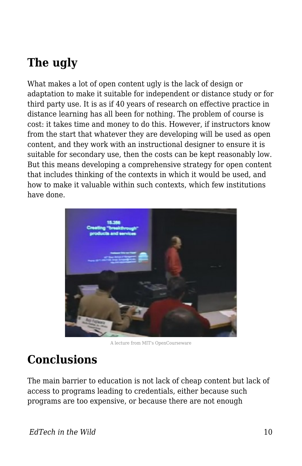## **The ugly**

What makes a lot of open content ugly is the lack of design or adaptation to make it suitable for independent or distance study or for third party use. It is as if 40 years of research on effective practice in distance learning has all been for nothing. The problem of course is cost: it takes time and money to do this. However, if instructors know from the start that whatever they are developing will be used as open content, and they work with an instructional designer to ensure it is suitable for secondary use, then the costs can be kept reasonably low. But this means developing a comprehensive strategy for open content that includes thinking of the contexts in which it would be used, and how to make it valuable within such contexts, which few institutions have done.



A lecture from MIT's OpenCourseware

#### **Conclusions**

The main barrier to education is not lack of cheap content but lack of access to programs leading to credentials, either because such programs are too expensive, or because there are not enough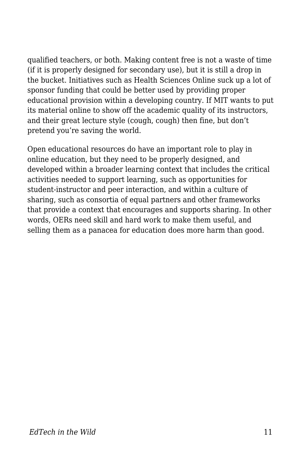qualified teachers, or both. Making content free is not a waste of time (if it is properly designed for secondary use), but it is still a drop in the bucket. Initiatives such as Health Sciences Online suck up a lot of sponsor funding that could be better used by providing proper educational provision within a developing country. If MIT wants to put its material online to show off the academic quality of its instructors, and their great lecture style (cough, cough) then fine, but don't pretend you're saving the world.

Open educational resources do have an important role to play in online education, but they need to be properly designed, and developed within a broader learning context that includes the critical activities needed to support learning, such as opportunities for student-instructor and peer interaction, and within a culture of sharing, such as consortia of equal partners and other frameworks that provide a context that encourages and supports sharing. In other words, OERs need skill and hard work to make them useful, and selling them as a panacea for education does more harm than good.